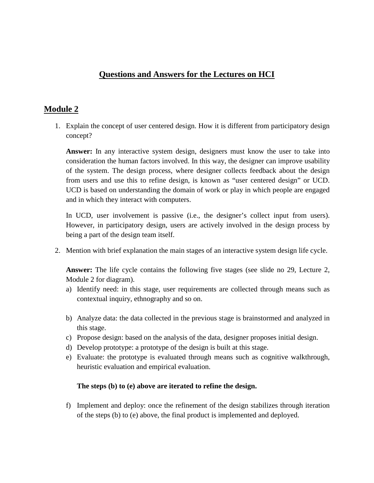## **Questions and Answers for the Lectures on HCI**

## **Module 2**

1. Explain the concept of user centered design. How it is different from participatory design concept?

**Answer:** In any interactive system design, designers must know the user to take into consideration the human factors involved. In this way, the designer can improve usability of the system. The design process, where designer collects feedback about the design from users and use this to refine design, is known as "user centered design" or UCD. UCD is based on understanding the domain of work or play in which people are engaged and in which they interact with computers.

In UCD, user involvement is passive (i.e., the designer's collect input from users). However, in participatory design, users are actively involved in the design process by being a part of the design team itself.

2. Mention with brief explanation the main stages of an interactive system design life cycle.

**Answer:** The life cycle contains the following five stages (see slide no 29, Lecture 2, Module 2 for diagram).

- a) Identify need: in this stage, user requirements are collected through means such as contextual inquiry, ethnography and so on.
- b) Analyze data: the data collected in the previous stage is brainstormed and analyzed in this stage.
- c) Propose design: based on the analysis of the data, designer proposes initial design.
- d) Develop prototype: a prototype of the design is built at this stage.
- e) Evaluate: the prototype is evaluated through means such as cognitive walkthrough, heuristic evaluation and empirical evaluation.

## **The steps (b) to (e) above are iterated to refine the design.**

f) Implement and deploy: once the refinement of the design stabilizes through iteration of the steps (b) to (e) above, the final product is implemented and deployed.